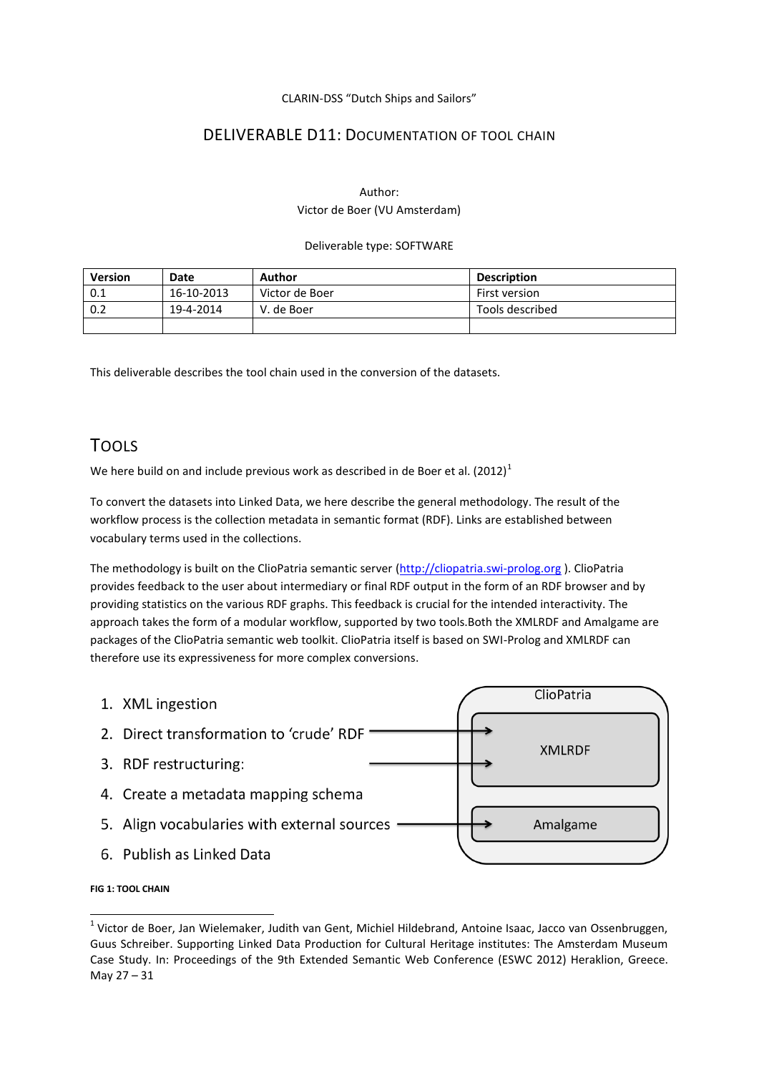#### CLARIN-DSS "Dutch Ships and Sailors"

## DELIVERABLE D11: DOCUMENTATION OF TOOL CHAIN

#### Author: Victor de Boer (VU Amsterdam)

#### Deliverable type: SOFTWARE

| Version | Date       | Author         | <b>Description</b> |
|---------|------------|----------------|--------------------|
| 0.1     | 16-10-2013 | Victor de Boer | First version      |
| 0.2     | 19-4-2014  | V. de Boer     | Tools described    |
|         |            |                |                    |

This deliverable describes the tool chain used in the conversion of the datasets.

# TOOLS

We here build on and include previous work as described in de Boer et al.  $(2012)^1$ 

To convert the datasets into Linked Data, we here describe the general methodology. The result of the workflow process is the collection metadata in semantic format (RDF). Links are established between vocabulary terms used in the collections.

The methodology is built on the ClioPatria semantic server [\(http://cliopatria.swi-prolog.org](http://cliopatria.swi-prolog.org/) ). ClioPatria provides feedback to the user about intermediary or final RDF output in the form of an RDF browser and by providing statistics on the various RDF graphs. This feedback is crucial for the intended interactivity. The approach takes the form of a modular workflow, supported by two tools.Both the XMLRDF and Amalgame are packages of the ClioPatria semantic web toolkit. ClioPatria itself is based on SWI-Prolog and XMLRDF can therefore use its expressiveness for more complex conversions.



#### **FIG 1: TOOL CHAIN**

**.** 

<sup>&</sup>lt;sup>1</sup> Victor de Boer, Jan Wielemaker, Judith van Gent, Michiel Hildebrand, Antoine Isaac, Jacco van Ossenbruggen, Guus Schreiber. Supporting Linked Data Production for Cultural Heritage institutes: The Amsterdam Museum Case Study. In: Proceedings of the 9th Extended Semantic Web Conference (ESWC 2012) Heraklion, Greece. May 27 – 31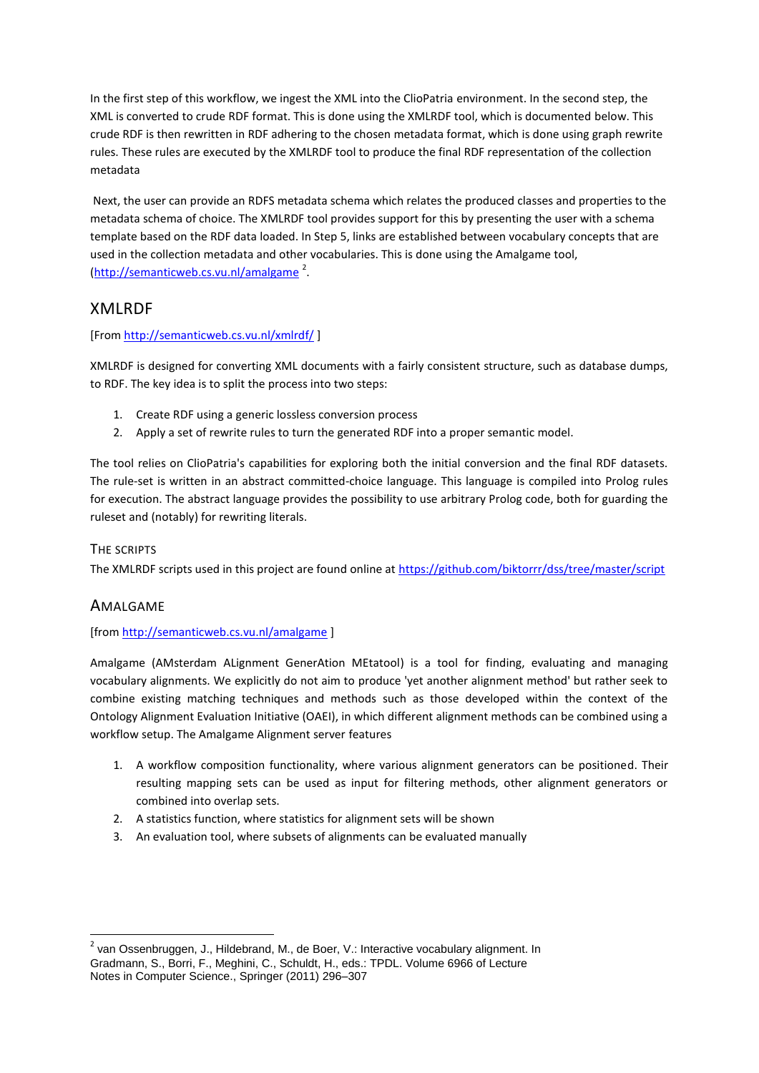In the first step of this workflow, we ingest the XML into the ClioPatria environment. In the second step, the XML is converted to crude RDF format. This is done using the XMLRDF tool, which is documented below. This crude RDF is then rewritten in RDF adhering to the chosen metadata format, which is done using graph rewrite rules. These rules are executed by the XMLRDF tool to produce the final RDF representation of the collection metadata

Next, the user can provide an RDFS metadata schema which relates the produced classes and properties to the metadata schema of choice. The XMLRDF tool provides support for this by presenting the user with a schema template based on the RDF data loaded. In Step 5, links are established between vocabulary concepts that are used in the collection metadata and other vocabularies. This is done using the Amalgame tool, [\(http://semanticweb.cs.vu.nl/amalgame](http://semanticweb.cs.vu.nl/amalgame)<sup>2</sup>.

## XMLRDF

### [Fro[m http://semanticweb.cs.vu.nl/xmlrdf/](http://semanticweb.cs.vu.nl/xmlrdf/) ]

XMLRDF is designed for converting XML documents with a fairly consistent structure, such as database dumps, to RDF. The key idea is to split the process into two steps:

- 1. Create RDF using a generic lossless conversion process
- 2. Apply a set of rewrite rules to turn the generated RDF into a proper semantic model.

The tool relies on ClioPatria's capabilities for exploring both the initial conversion and the final RDF datasets. The rule-set is written in an abstract committed-choice language. This language is compiled into Prolog rules for execution. The abstract language provides the possibility to use arbitrary Prolog code, both for guarding the ruleset and (notably) for rewriting literals.

### THE SCRIPTS

The XMLRDF scripts used in this project are found online at<https://github.com/biktorrr/dss/tree/master/script>

## AMALGAME

1

### [from<http://semanticweb.cs.vu.nl/amalgame> ]

Amalgame (AMsterdam ALignment GenerAtion MEtatool) is a tool for finding, evaluating and managing vocabulary alignments. We explicitly do not aim to produce 'yet another alignment method' but rather seek to combine existing matching techniques and methods such as those developed within the context of the Ontology Alignment Evaluation Initiative (OAEI), in which different alignment methods can be combined using a workflow setup. The Amalgame Alignment server features

- 1. A workflow composition functionality, where various alignment generators can be positioned. Their resulting mapping sets can be used as input for filtering methods, other alignment generators or combined into overlap sets.
- 2. A statistics function, where statistics for alignment sets will be shown
- 3. An evaluation tool, where subsets of alignments can be evaluated manually

<sup>&</sup>lt;sup>2</sup> van Ossenbruggen, J., Hildebrand, M., de Boer, V.: Interactive vocabulary alignment. In Gradmann, S., Borri, F., Meghini, C., Schuldt, H., eds.: TPDL. Volume 6966 of Lecture Notes in Computer Science., Springer (2011) 296–307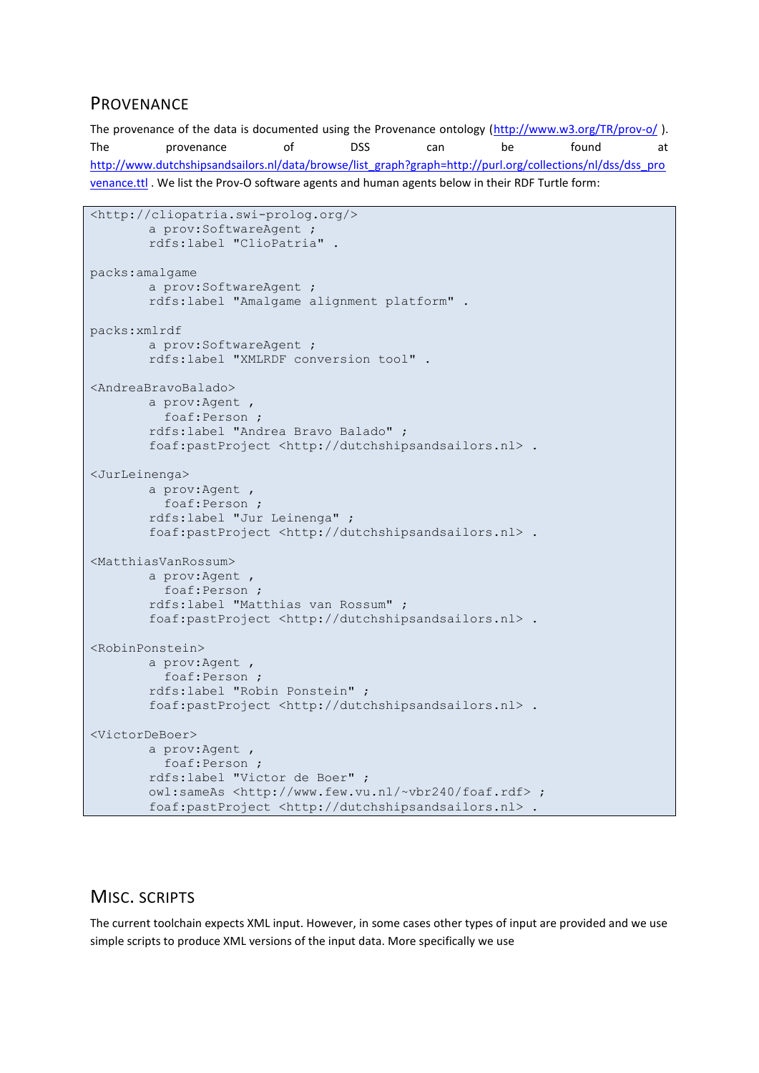# **PROVENANCE**

The provenance of the data is documented using the Provenance ontology [\(http://www.w3.org/TR/prov-o/](http://www.w3.org/TR/prov-o/)). The provenance of DSS can be found at [http://www.dutchshipsandsailors.nl/data/browse/list\\_graph?graph=http://purl.org/collections/nl/dss/dss\\_pro](http://www.dutchshipsandsailors.nl/data/browse/list_graph?graph=http://purl.org/collections/nl/dss/dss_provenance.ttl) [venance.ttl](http://www.dutchshipsandsailors.nl/data/browse/list_graph?graph=http://purl.org/collections/nl/dss/dss_provenance.ttl) . We list the Prov-O software agents and human agents below in their RDF Turtle form:

```
<http://cliopatria.swi-prolog.org/>
        a prov: SoftwareAgent ;
        rdfs:label "ClioPatria" .
packs:amalgame
        a prov: SoftwareAgent ;
       rdfs:label "Amalgame alignment platform" .
packs:xmlrdf
       a prov:SoftwareAgent ;
       rdfs:label "XMLRDF conversion tool" .
<AndreaBravoBalado>
       a prov:Agent ,
          foaf:Person ;
       rdfs:label "Andrea Bravo Balado" ;
       foaf:pastProject <http://dutchshipsandsailors.nl> .
<JurLeinenga>
       a prov:Agent ,
          foaf:Person ;
       rdfs:label "Jur Leinenga" ;
       foaf:pastProject <http://dutchshipsandsailors.nl> .
<MatthiasVanRossum>
       a prov:Agent ,
          foaf:Person ;
       rdfs:label "Matthias van Rossum" ;
       foaf:pastProject <http://dutchshipsandsailors.nl> .
<RobinPonstein>
       a prov:Agent ,
          foaf:Person ;
       rdfs:label "Robin Ponstein" ;
       foaf:pastProject <http://dutchshipsandsailors.nl> .
<VictorDeBoer>
       a prov:Agent ,
          foaf:Person ;
       rdfs:label "Victor de Boer" ;
       owl:sameAs <http://www.few.vu.nl/~vbr240/foaf.rdf> ;
        foaf:pastProject <http://dutchshipsandsailors.nl> .
```
# MISC. SCRIPTS

The current toolchain expects XML input. However, in some cases other types of input are provided and we use simple scripts to produce XML versions of the input data. More specifically we use